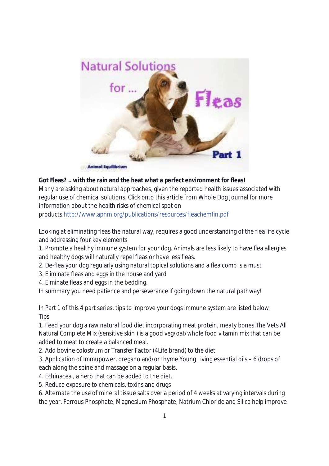

# **Got Fleas? .. with the rain and the heat what a perfect environment for fleas!**

Many are asking about natural approaches, given the reported health issues associated with regular use of chemical solutions. Click onto this article from Whole Dog Journal for more information about the health risks of chemical spot on

products.http://www.apnm.org/publications/resources/fleachemfin.pdf

Looking at eliminating fleas the natural way, requires a good understanding of the flea life cycle and addressing four key elements

1. Promote a healthy immune system for your dog. Animals are less likely to have flea allergies and healthy dogs will naturally repel fleas or have less fleas.

- 2. De-flea your dog regularly using natural topical solutions and a flea comb is a must
- 3. Eliminate fleas and eggs in the house and yard
- 4. Elminate fleas and eggs in the bedding.

In summary you need patience and perseverance if going down the natural pathway!

In Part 1 of this 4 part series, tips to improve your dogs immune system are listed below. **Tips** 

1. Feed your dog a raw natural food diet incorporating meat protein, meaty bones.The Vets All Natural Complete Mix (sensitive skin ) is a good veg/oat/whole food vitamin mix that can be added to meat to create a balanced meal.

2. Add bovine colostrum or Transfer Factor (4Life brand) to the diet

3. Application of Immupower, oregano and/or thyme Young Living essential oils – 6 drops of each along the spine and massage on a regular basis.

- 4. Echinacea , a herb that can be added to the diet.
- 5. Reduce exposure to chemicals, toxins and drugs

6. Alternate the use of mineral tissue salts over a period of 4 weeks at varying intervals during the year. Ferrous Phosphate, Magnesium Phosphate, Natrium Chloride and Silica help improve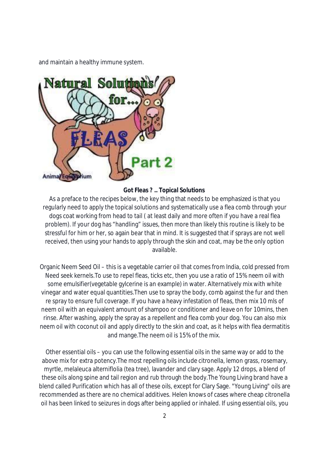and maintain a healthy immune system.



#### **Got Fleas ? .. Topical Solutions**

As a preface to the recipes below, the key thing that needs to be emphasized is that you regularly need to apply the topical solutions and systematically use a flea comb through your dogs coat working from head to tail ( at least daily and more often if you have a real flea problem). If your dog has "handling" issues, then more than likely this routine is likely to be stressful for him or her, so again bear that in mind. It is suggested that if sprays are not well received, then using your hands to apply through the skin and coat, may be the only option available.

Organic Neem Seed Oil – this is a vegetable carrier oil that comes from India, cold pressed from Need seek kernels.To use to repel fleas, ticks etc, then you use a ratio of 15% neem oil with some emulsifier(vegetable gylcerine is an example) in water. Alternatively mix with white vinegar and water equal quantities.Then use to spray the body, comb against the fur and then re spray to ensure full coverage. If you have a heavy infestation of fleas, then mix 10 mls of neem oil with an equivalent amount of shampoo or conditioner and leave on for 10mins, then rinse. After washing, apply the spray as a repellent and flea comb your dog. You can also mix neem oil with coconut oil and apply directly to the skin and coat, as it helps with flea dermatitis and mange.The neem oil is 15% of the mix.

Other essential oils – you can use the following essential oils in the same way or add to the above mix for extra potency.The most repelling oils include citronella, lemon grass, rosemary, myrtle, melaleuca alterniflolia (tea tree), lavander and clary sage. Apply 12 drops, a blend of these oils along spine and tail region and rub through the body.The Young Living brand have a blend called Purification which has all of these oils, except for Clary Sage. "Young Living" oils are recommended as there are no chemical additives. Helen knows of cases where cheap citronella oil has been linked to seizures in dogs after being applied or inhaled. If using essential oils, you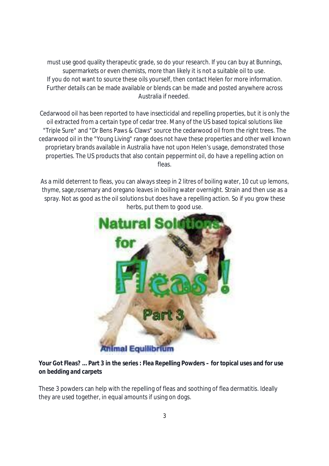must use good quality therapeutic grade, so do your research. If you can buy at Bunnings, supermarkets or even chemists, more than likely it is not a suitable oil to use. If you do not want to source these oils yourself, then contact Helen for more information. Further details can be made available or blends can be made and posted anywhere across Australia if needed.

Cedarwood oil has been reported to have insecticidal and repelling properties, but it is only the oil extracted from a certain type of cedar tree. Many of the US based topical solutions like "Triple Sure" and "Dr Bens Paws & Claws" source the cedarwood oil from the right trees. The cedarwood oil in the "Young Living" range does not have these properties and other well known proprietary brands available in Australia have not upon Helen's usage, demonstrated those properties. The US products that also contain peppermint oil, do have a repelling action on fleas.

As a mild deterrent to fleas, you can always steep in 2 litres of boiling water, 10 cut up lemons, thyme, sage,rosemary and oregano leaves in boiling water overnight. Strain and then use as a spray. Not as good as the oil solutions but does have a repelling action. So if you grow these herbs, put them to good use.



# **Your Got Fleas? … Part 3 in the series : Flea Repelling Powders – for topical uses and for use on bedding and carpets**

These 3 powders can help with the repelling of fleas and soothing of flea dermatitis. Ideally they are used together, in equal amounts if using on dogs.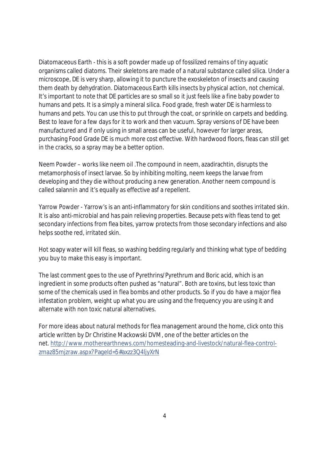Diatomaceous Earth - this is a soft powder made up of fossilized remains of tiny aquatic organisms called diatoms. Their skeletons are made of a natural substance called silica. Under a microscope, DE is very sharp, allowing it to puncture the exoskeleton of insects and causing them death by dehydration. Diatomaceous Earth kills insects by physical action, not chemical. It's important to note that DE particles are so small so it just feels like a fine baby powder to humans and pets. It is a simply a mineral silica. Food grade, fresh water DE is harmless to humans and pets. You can use this to put through the coat, or sprinkle on carpets and bedding. Best to leave for a few days for it to work and then vacuum. Spray versions of DE have been manufactured and if only using in small areas can be useful, however for larger areas, purchasing Food Grade DE is much more cost effective. With hardwood floors, fleas can still get in the cracks, so a spray may be a better option.

Neem Powder – works like neem oil .The compound in neem, azadirachtin, disrupts the metamorphosis of insect larvae. So by inhibiting molting, neem keeps the larvae from developing and they die without producing a new generation. Another neem compound is called salannin and it's equally as effective asf a repellent.

Yarrow Powder - Yarrow's is an anti-inflammatory for skin conditions and soothes irritated skin. It is also anti-microbial and has pain relieving properties. Because pets with fleas tend to get secondary infections from flea bites, yarrow protects from those secondary infections and also helps soothe red, irritated skin.

Hot soapy water will kill fleas, so washing bedding regularly and thinking what type of bedding you buy to make this easy is important.

The last comment goes to the use of Pyrethrins/Pyrethrum and Boric acid, which is an ingredient in some products often pushed as "natural". Both are toxins, but less toxic than some of the chemicals used in flea bombs and other products. So if you do have a major flea infestation problem, weight up what you are using and the frequency you are using it and alternate with non toxic natural alternatives.

For more ideas about natural methods for flea management around the home, click onto this article written by Dr Christine Mackowski DVM, one of the better articles on the net. http://www.motherearthnews.com/homesteading-and-livestock/natural-flea-controlzmaz85mjzraw.aspx?PageId=5#axzz3Q4ljyXrN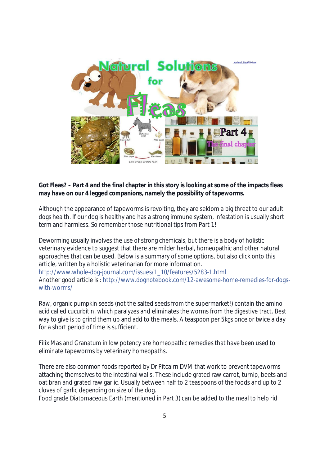

### **Got Fleas? – Part 4 and the final chapter in this story is looking at some of the impacts fleas may have on our 4 legged companions, namely the possibility of tapeworms.**

Although the appearance of tapeworms is revolting, they are seldom a big threat to our adult dogs health. If our dog is healthy and has a strong immune system, infestation is usually short term and harmless. So remember those nutritional tips from Part 1!

Deworming usually involves the use of strong chemicals, but there is a body of holistic veterinary evidence to suggest that there are milder herbal, homeopathic and other natural approaches that can be used. Below is a summary of some options, but also click onto this article, written by a holistic veterinarian for more information. http://www.whole-dog-journal.com/issues/1\_10/features/5283-1.html Another good article is : http://www.dognotebook.com/12-awesome-home-remedies-for-dogswith-worms/

Raw, organic pumpkin seeds (not the salted seeds from the supermarket!) contain the amino acid called cucurbitin, which paralyzes and eliminates the worms from the digestive tract. Best way to give is to grind them up and add to the meals. A teaspoon per 5kgs once or twice a day for a short period of time is sufficient.

Filix Mas and Granatum in low potency are homeopathic remedies that have been used to eliminate tapeworms by veterinary homeopaths.

There are also common foods reported by Dr Pitcairn DVM that work to prevent tapeworms attaching themselves to the intestinal walls. These include grated raw carrot, turnip, beets and oat bran and grated raw garlic. Usually between half to 2 teaspoons of the foods and up to 2 cloves of garlic depending on size of the dog.

Food grade Diatomaceous Earth (mentioned in Part 3) can be added to the meal to help rid